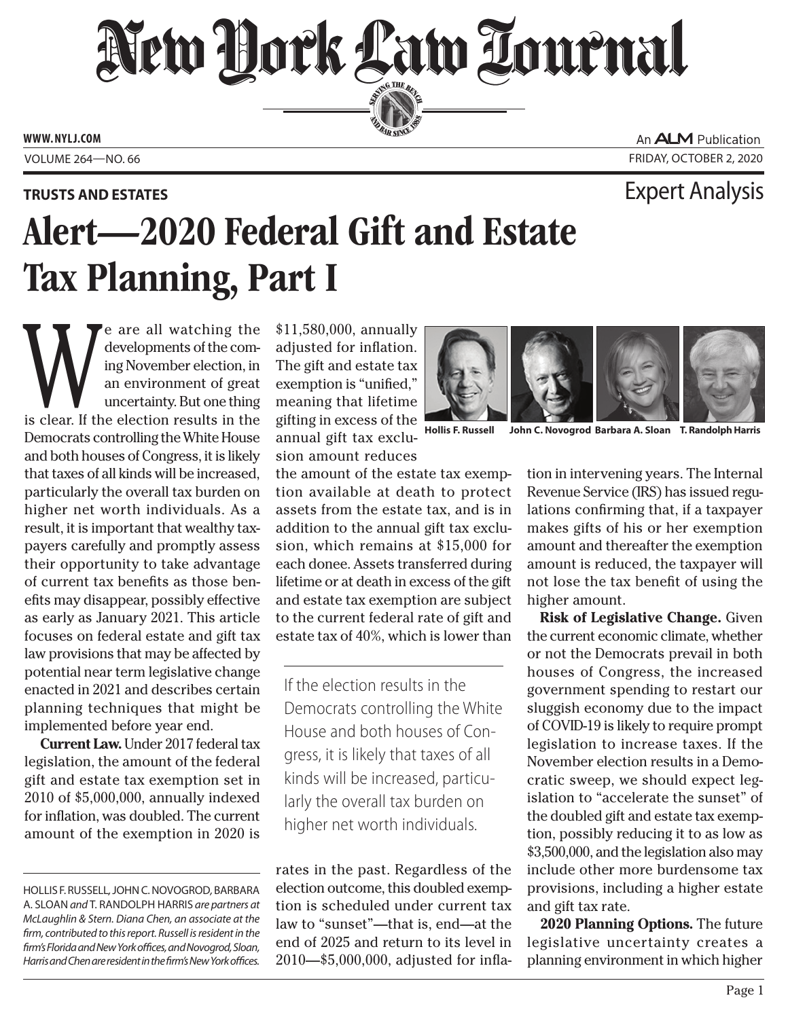## New Hork Law Lournal SERVING THE BEN

**ED BAR SINCE 188** 

**www. NYLJ.com**

An **ALM** Publication Volume 264—NO. 66 Friday, October 2, 2020

### **Trusts and Estates** Expert Analysis

# Alert—2020 Federal Gift and Estate Tax Planning, Part I

exelopments of the coming November election, in an environment of great uncertainty. But one thing is clear. If the election results in the developments of the coming November election, in an environment of great uncertainty. But one thing Democrats controlling the White House and both houses of Congress, it is likely that taxes of all kinds will be increased, particularly the overall tax burden on higher net worth individuals. As a result, it is important that wealthy taxpayers carefully and promptly assess their opportunity to take advantage of current tax benefits as those benefits may disappear, possibly effective as early as January 2021. This article focuses on federal estate and gift tax law provisions that may be affected by potential near term legislative change enacted in 2021 and describes certain planning techniques that might be implemented before year end.

 **Current Law.** Under 2017 federal tax legislation, the amount of the federal gift and estate tax exemption set in 2010 of \$5,000,000, annually indexed for inflation, was doubled. The current amount of the exemption in 2020 is

\$11,580,000, annually adjusted for inflation. The gift and estate tax exemption is "unified," meaning that lifetime gifting in excess of the annual gift tax exclusion amount reduces

the amount of the estate tax exemption available at death to protect assets from the estate tax, and is in addition to the annual gift tax exclusion, which remains at \$15,000 for each donee. Assets transferred during lifetime or at death in excess of the gift and estate tax exemption are subject to the current federal rate of gift and estate tax of 40%, which is lower than

If the election results in the Democrats controlling the White House and both houses of Congress, it is likely that taxes of all kinds will be increased, particularly the overall tax burden on higher net worth individuals.

rates in the past. Regardless of the election outcome, this doubled exemption is scheduled under current tax law to "sunset"—that is, end—at the end of 2025 and return to its level in 2010—\$5,000,000, adjusted for infla-



**Hollis F. Russell John C. Novogrod Barbara A. Sloan T. Randolph Harris**

tion in intervening years. The Internal Revenue Service (IRS) has issued regulations confirming that, if a taxpayer makes gifts of his or her exemption amount and thereafter the exemption amount is reduced, the taxpayer will not lose the tax benefit of using the higher amount.

**Risk of Legislative Change.** Given the current economic climate, whether or not the Democrats prevail in both houses of Congress, the increased government spending to restart our sluggish economy due to the impact of COVID-19 is likely to require prompt legislation to increase taxes. If the November election results in a Democratic sweep, we should expect legislation to "accelerate the sunset" of the doubled gift and estate tax exemption, possibly reducing it to as low as \$3,500,000, and the legislation also may include other more burdensome tax provisions, including a higher estate and gift tax rate.

**2020 Planning Options.** The future legislative uncertainty creates a planning environment in which higher

Hollis F. Russell*,* JohnC. Novogrod*,* Barbara A. Sloan *and* T. Randolph Harris *are partners at McLaughlin & Stern. Diana Chen, an associate at the firm, contributed to this report. Russell is resident in the firm's Florida and New York offices, and Novogrod, Sloan, Harris and Chen are resident in the firm's New York offices.*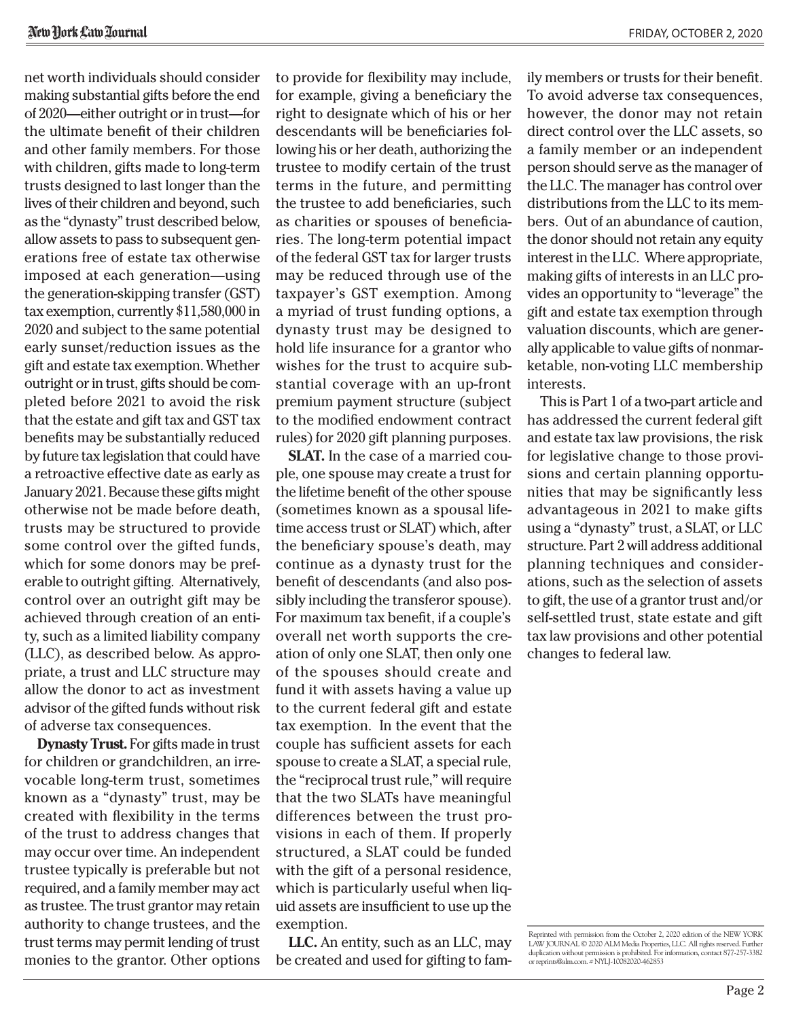net worth individuals should consider making substantial gifts before the end of 2020—either outright or in trust—for the ultimate benefit of their children and other family members. For those with children, gifts made to long-term trusts designed to last longer than the lives of their children and beyond, such as the "dynasty" trust described below, allow assets to pass to subsequent generations free of estate tax otherwise imposed at each generation—using the generation-skipping transfer (GST) tax exemption, currently \$11,580,000 in 2020 and subject to the same potential early sunset/reduction issues as the gift and estate tax exemption. Whether outright or in trust, gifts should be completed before 2021 to avoid the risk that the estate and gift tax and GST tax benefits may be substantially reduced by future tax legislation that could have a retroactive effective date as early as January 2021. Because these gifts might otherwise not be made before death, trusts may be structured to provide some control over the gifted funds, which for some donors may be preferable to outright gifting. Alternatively, control over an outright gift may be achieved through creation of an entity, such as a limited liability company (LLC), as described below. As appropriate, a trust and LLC structure may allow the donor to act as investment advisor of the gifted funds without risk of adverse tax consequences.

**Dynasty Trust.** For gifts made in trust for children or grandchildren, an irrevocable long-term trust, sometimes known as a "dynasty" trust, may be created with flexibility in the terms of the trust to address changes that may occur over time. An independent trustee typically is preferable but not required, and a family member may act as trustee. The trust grantor may retain authority to change trustees, and the trust terms may permit lending of trust monies to the grantor. Other options to provide for flexibility may include, for example, giving a beneficiary the right to designate which of his or her descendants will be beneficiaries following his or her death, authorizing the trustee to modify certain of the trust terms in the future, and permitting the trustee to add beneficiaries, such as charities or spouses of beneficiaries. The long-term potential impact of the federal GST tax for larger trusts may be reduced through use of the taxpayer's GST exemption. Among a myriad of trust funding options, a dynasty trust may be designed to hold life insurance for a grantor who wishes for the trust to acquire substantial coverage with an up-front premium payment structure (subject to the modified endowment contract rules) for 2020 gift planning purposes.

**SLAT.** In the case of a married couple, one spouse may create a trust for the lifetime benefit of the other spouse (sometimes known as a spousal lifetime access trust or SLAT) which, after the beneficiary spouse's death, may continue as a dynasty trust for the benefit of descendants (and also possibly including the transferor spouse). For maximum tax benefit, if a couple's overall net worth supports the creation of only one SLAT, then only one of the spouses should create and fund it with assets having a value up to the current federal gift and estate tax exemption. In the event that the couple has sufficient assets for each spouse to create a SLAT, a special rule, the "reciprocal trust rule," will require that the two SLATs have meaningful differences between the trust provisions in each of them. If properly structured, a SLAT could be funded with the gift of a personal residence, which is particularly useful when liquid assets are insufficient to use up the exemption.

**LLC.** An entity, such as an LLC, may be created and used for gifting to fam-

ily members or trusts for their benefit. To avoid adverse tax consequences, however, the donor may not retain direct control over the LLC assets, so a family member or an independent person should serve as the manager of the LLC. The manager has control over distributions from the LLC to its members. Out of an abundance of caution, the donor should not retain any equity interest in the LLC. Where appropriate, making gifts of interests in an LLC provides an opportunity to "leverage" the gift and estate tax exemption through valuation discounts, which are generally applicable to value gifts of nonmarketable, non-voting LLC membership interests.

This is Part 1 of a two-part article and has addressed the current federal gift and estate tax law provisions, the risk for legislative change to those provisions and certain planning opportunities that may be significantly less advantageous in 2021 to make gifts using a "dynasty" trust, a SLAT, or LLC structure. Part 2 will address additional planning techniques and considerations, such as the selection of assets to gift, the use of a grantor trust and/or self-settled trust, state estate and gift tax law provisions and other potential changes to federal law.

Reprinted with permission from the October 2, 2020 edition of the NEW YORK LAW JOURNAL © 2020 ALM Media Properties, LLC. All rights reserved. Further duplication without permission is prohibited. For information, contact 877-257-3382 or reprints@alm.com. # NYLJ-10082020-462853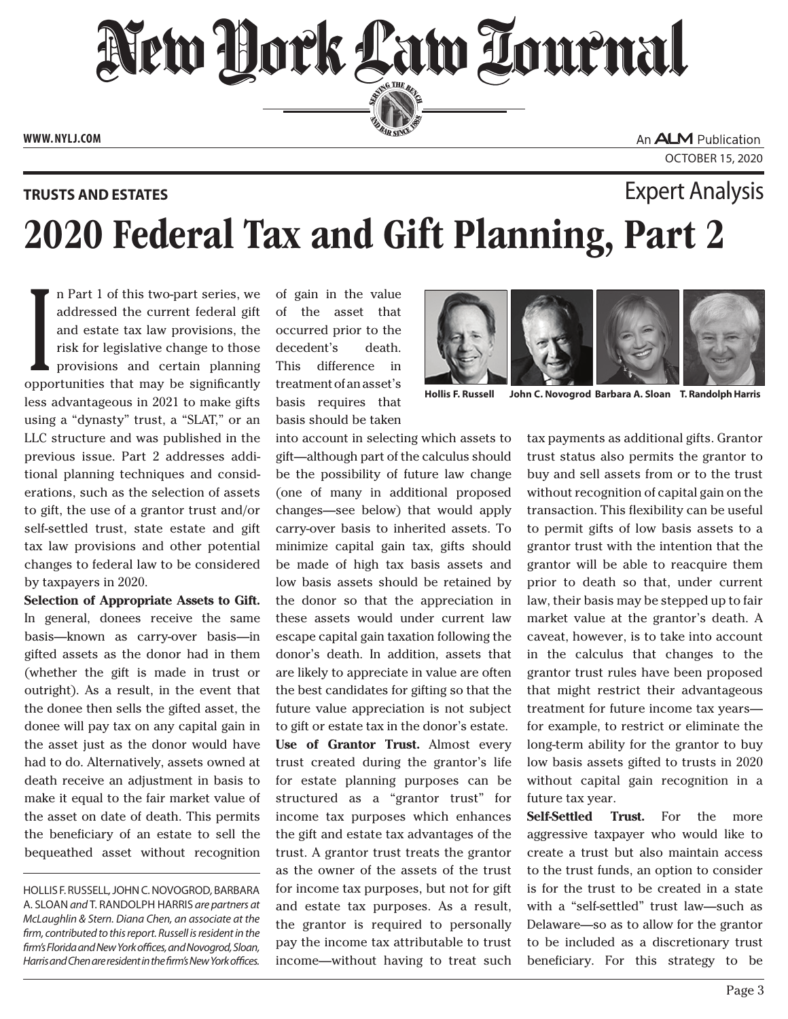New Hork Law Lournal SERVING THE BEN

**ED BAR SINCE 188** 

**www. NYLJ.com**

An **ALM** Publication October 15, 2020

### 2020 Federal Tax and Gift Planning, Part 2 **Trusts and Estates** Expert Analysis

In Part 1 of this two-part series, we addressed the current federal gift and estate tax law provisions, the risk for legislative change to those provisions and certain planning opportunities that may be significantly n Part 1 of this two-part series, we addressed the current federal gift and estate tax law provisions, the risk for legislative change to those provisions and certain planning less advantageous in 2021 to make gifts using a "dynasty" trust, a "SLAT," or an LLC structure and was published in the previous issue. Part 2 addresses additional planning techniques and considerations, such as the selection of assets to gift, the use of a grantor trust and/or self-settled trust, state estate and gift tax law provisions and other potential changes to federal law to be considered by taxpayers in 2020.

**Selection of Appropriate Assets to Gift.** In general, donees receive the same basis—known as carry-over basis—in gifted assets as the donor had in them (whether the gift is made in trust or outright). As a result, in the event that the donee then sells the gifted asset, the donee will pay tax on any capital gain in the asset just as the donor would have had to do. Alternatively, assets owned at death receive an adjustment in basis to make it equal to the fair market value of the asset on date of death. This permits the beneficiary of an estate to sell the bequeathed asset without recognition

Hollis F. Russell*,* JohnC. Novogrod*,* Barbara A. Sloan *and* T. Randolph Harris *are partners at McLaughlin & Stern. Diana Chen, an associate at the firm, contributed to this report. Russell is resident in the firm's Florida and New York offices, and Novogrod, Sloan, Harris and Chen are resident in the firm's New York offices.*

of gain in the value of the asset that occurred prior to the decedent's death. This difference in treatment of an asset's basis requires that basis should be taken

into account in selecting which assets to gift—although part of the calculus should be the possibility of future law change (one of many in additional proposed changes—see below) that would apply carry-over basis to inherited assets. To minimize capital gain tax, gifts should be made of high tax basis assets and low basis assets should be retained by the donor so that the appreciation in these assets would under current law escape capital gain taxation following the donor's death. In addition, assets that are likely to appreciate in value are often the best candidates for gifting so that the future value appreciation is not subject to gift or estate tax in the donor's estate. **Use of Grantor Trust.** Almost every trust created during the grantor's life for estate planning purposes can be structured as a "grantor trust" for income tax purposes which enhances the gift and estate tax advantages of the trust. A grantor trust treats the grantor as the owner of the assets of the trust for income tax purposes, but not for gift and estate tax purposes. As a result, the grantor is required to personally pay the income tax attributable to trust income—without having to treat such



**Hollis F. Russell John C. Novogrod Barbara A. Sloan T. Randolph Harris**

tax payments as additional gifts. Grantor trust status also permits the grantor to buy and sell assets from or to the trust without recognition of capital gain on the transaction. This flexibility can be useful to permit gifts of low basis assets to a grantor trust with the intention that the grantor will be able to reacquire them prior to death so that, under current law, their basis may be stepped up to fair market value at the grantor's death. A caveat, however, is to take into account in the calculus that changes to the grantor trust rules have been proposed that might restrict their advantageous treatment for future income tax years for example, to restrict or eliminate the long-term ability for the grantor to buy low basis assets gifted to trusts in 2020 without capital gain recognition in a future tax year.

**Self-Settled Trust.** For the more aggressive taxpayer who would like to create a trust but also maintain access to the trust funds, an option to consider is for the trust to be created in a state with a "self-settled" trust law—such as Delaware—so as to allow for the grantor to be included as a discretionary trust beneficiary. For this strategy to be